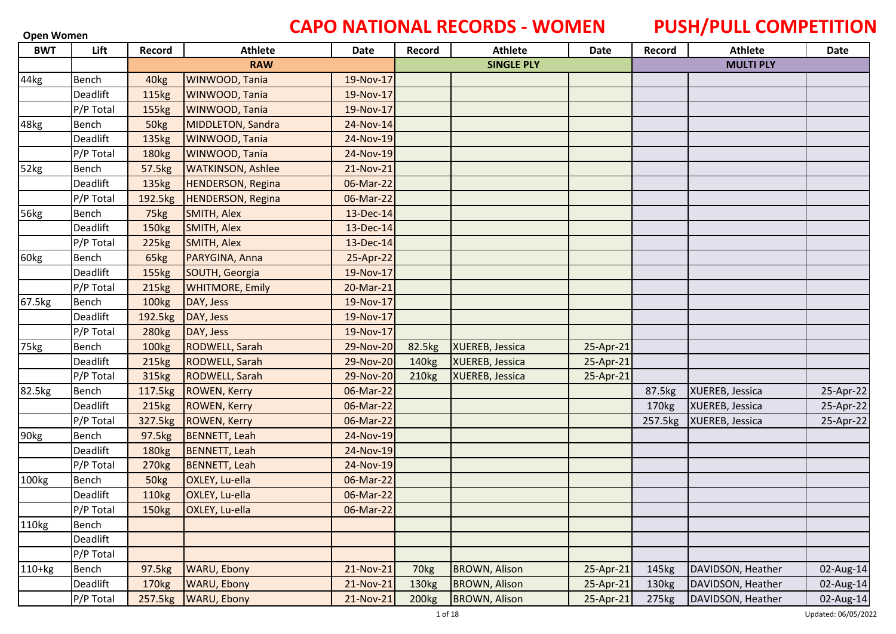### **Open Women CAPO NATIONAL RECORDS - WOMEN PUSH/PULL COMPETITION**

| <b>BWT</b> | Lift      | Record            | <b>Athlete</b>           | Date      | Record            | <b>Athlete</b>       | <b>Date</b> | Record  | <b>Athlete</b>    | Date      |
|------------|-----------|-------------------|--------------------------|-----------|-------------------|----------------------|-------------|---------|-------------------|-----------|
|            |           |                   | <b>RAW</b>               |           |                   | <b>SINGLE PLY</b>    |             |         | <b>MULTI PLY</b>  |           |
| 44kg       | Bench     | 40 <sub>kg</sub>  | WINWOOD, Tania           | 19-Nov-17 |                   |                      |             |         |                   |           |
|            | Deadlift  | 115kg             | WINWOOD, Tania           | 19-Nov-17 |                   |                      |             |         |                   |           |
|            | P/P Total | 155kg             | WINWOOD, Tania           | 19-Nov-17 |                   |                      |             |         |                   |           |
| 48kg       | Bench     | 50kg              | <b>MIDDLETON, Sandra</b> | 24-Nov-14 |                   |                      |             |         |                   |           |
|            | Deadlift  | 135kg             | WINWOOD, Tania           | 24-Nov-19 |                   |                      |             |         |                   |           |
|            | P/P Total | <b>180kg</b>      | WINWOOD, Tania           | 24-Nov-19 |                   |                      |             |         |                   |           |
| 52kg       | Bench     | 57.5kg            | <b>WATKINSON, Ashlee</b> | 21-Nov-21 |                   |                      |             |         |                   |           |
|            | Deadlift  | 135kg             | <b>HENDERSON, Regina</b> | 06-Mar-22 |                   |                      |             |         |                   |           |
|            | P/P Total | 192.5kg           | <b>HENDERSON, Regina</b> | 06-Mar-22 |                   |                      |             |         |                   |           |
| 56kg       | Bench     | 75kg              | SMITH, Alex              | 13-Dec-14 |                   |                      |             |         |                   |           |
|            | Deadlift  | 150kg             | SMITH, Alex              | 13-Dec-14 |                   |                      |             |         |                   |           |
|            | P/P Total | 225kg             | SMITH, Alex              | 13-Dec-14 |                   |                      |             |         |                   |           |
| 60kg       | Bench     | 65kg              | PARYGINA, Anna           | 25-Apr-22 |                   |                      |             |         |                   |           |
|            | Deadlift  | 155kg             | SOUTH, Georgia           | 19-Nov-17 |                   |                      |             |         |                   |           |
|            | P/P Total | 215kg             | <b>WHITMORE, Emily</b>   | 20-Mar-21 |                   |                      |             |         |                   |           |
| 67.5kg     | Bench     | 100kg             | DAY, Jess                | 19-Nov-17 |                   |                      |             |         |                   |           |
|            | Deadlift  | 192.5kg           | DAY, Jess                | 19-Nov-17 |                   |                      |             |         |                   |           |
|            | P/P Total | 280 <sub>kg</sub> | DAY, Jess                | 19-Nov-17 |                   |                      |             |         |                   |           |
| 75kg       | Bench     | 100kg             | <b>RODWELL, Sarah</b>    | 29-Nov-20 | 82.5kg            | XUEREB, Jessica      | 25-Apr-21   |         |                   |           |
|            | Deadlift  | 215kg             | <b>RODWELL, Sarah</b>    | 29-Nov-20 | 140 <sub>kg</sub> | XUEREB, Jessica      | 25-Apr-21   |         |                   |           |
|            | P/P Total | 315kg             | <b>RODWELL, Sarah</b>    | 29-Nov-20 | 210 <sub>kg</sub> | XUEREB, Jessica      | 25-Apr-21   |         |                   |           |
| 82.5kg     | Bench     | 117.5kg           | <b>ROWEN, Kerry</b>      | 06-Mar-22 |                   |                      |             | 87.5kg  | XUEREB, Jessica   | 25-Apr-22 |
|            | Deadlift  | 215kg             | <b>ROWEN, Kerry</b>      | 06-Mar-22 |                   |                      |             | 170kg   | XUEREB, Jessica   | 25-Apr-22 |
|            | P/P Total | 327.5kg           | <b>ROWEN, Kerry</b>      | 06-Mar-22 |                   |                      |             | 257.5kg | XUEREB, Jessica   | 25-Apr-22 |
| 90kg       | Bench     | 97.5kg            | <b>BENNETT</b> , Leah    | 24-Nov-19 |                   |                      |             |         |                   |           |
|            | Deadlift  | 180kg             | <b>BENNETT, Leah</b>     | 24-Nov-19 |                   |                      |             |         |                   |           |
|            | P/P Total | 270 <sub>kg</sub> | <b>BENNETT, Leah</b>     | 24-Nov-19 |                   |                      |             |         |                   |           |
| 100kg      | Bench     | 50kg              | OXLEY, Lu-ella           | 06-Mar-22 |                   |                      |             |         |                   |           |
|            | Deadlift  | <b>110kg</b>      | OXLEY, Lu-ella           | 06-Mar-22 |                   |                      |             |         |                   |           |
|            | P/P Total | 150kg             | OXLEY, Lu-ella           | 06-Mar-22 |                   |                      |             |         |                   |           |
| 110kg      | Bench     |                   |                          |           |                   |                      |             |         |                   |           |
|            | Deadlift  |                   |                          |           |                   |                      |             |         |                   |           |
|            | P/P Total |                   |                          |           |                   |                      |             |         |                   |           |
| $110+kg$   | Bench     | 97.5kg            | <b>WARU, Ebony</b>       | 21-Nov-21 | 70kg              | <b>BROWN, Alison</b> | 25-Apr-21   | 145kg   | DAVIDSON, Heather | 02-Aug-14 |
|            | Deadlift  | 170kg             | <b>WARU, Ebony</b>       | 21-Nov-21 | 130 <sub>kg</sub> | <b>BROWN, Alison</b> | 25-Apr-21   | 130kg   | DAVIDSON, Heather | 02-Aug-14 |
|            | P/P Total | 257.5kg           | WARU, Ebony              | 21-Nov-21 | 200 <sub>kg</sub> | <b>BROWN, Alison</b> | 25-Apr-21   | 275kg   | DAVIDSON, Heather | 02-Aug-14 |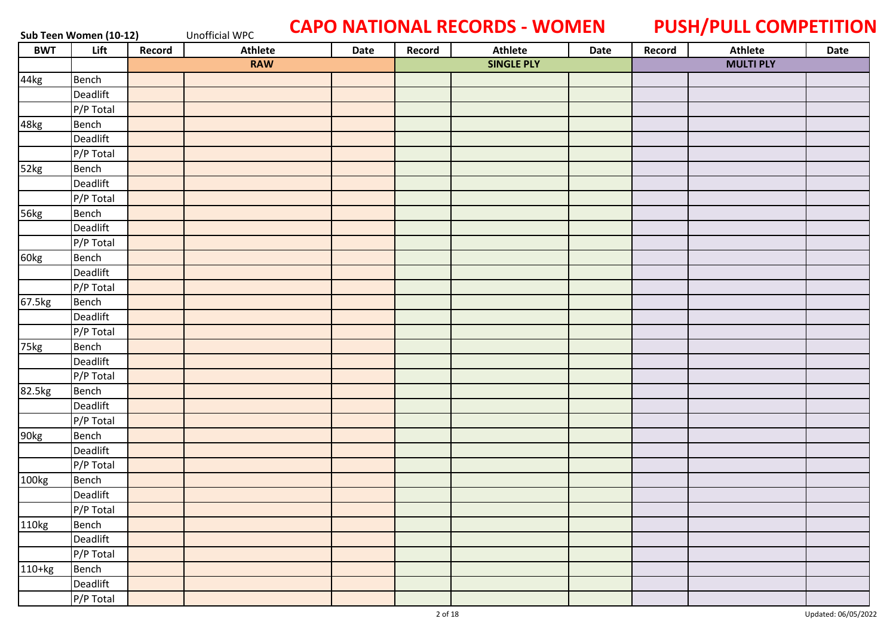### Sub Teen Women (10-12) Unofficial WPC **CAPO NATIONAL RECORDS - WOMEN** PUSH/PULL COMPETITION

| <b>BWT</b> | Lift      | Record | <b>Athlete</b> | Date | Record | <b>Athlete</b>    | Date | Record | Athlete          | Date |
|------------|-----------|--------|----------------|------|--------|-------------------|------|--------|------------------|------|
|            |           |        | <b>RAW</b>     |      |        | <b>SINGLE PLY</b> |      |        | <b>MULTI PLY</b> |      |
| 44kg       | Bench     |        |                |      |        |                   |      |        |                  |      |
|            | Deadlift  |        |                |      |        |                   |      |        |                  |      |
|            | P/P Total |        |                |      |        |                   |      |        |                  |      |
| 48kg       | Bench     |        |                |      |        |                   |      |        |                  |      |
|            | Deadlift  |        |                |      |        |                   |      |        |                  |      |
|            | P/P Total |        |                |      |        |                   |      |        |                  |      |
| 52kg       | Bench     |        |                |      |        |                   |      |        |                  |      |
|            | Deadlift  |        |                |      |        |                   |      |        |                  |      |
|            | P/P Total |        |                |      |        |                   |      |        |                  |      |
| 56kg       | Bench     |        |                |      |        |                   |      |        |                  |      |
|            | Deadlift  |        |                |      |        |                   |      |        |                  |      |
|            | P/P Total |        |                |      |        |                   |      |        |                  |      |
| 60kg       | Bench     |        |                |      |        |                   |      |        |                  |      |
|            | Deadlift  |        |                |      |        |                   |      |        |                  |      |
|            | P/P Total |        |                |      |        |                   |      |        |                  |      |
| 67.5kg     | Bench     |        |                |      |        |                   |      |        |                  |      |
|            | Deadlift  |        |                |      |        |                   |      |        |                  |      |
|            | P/P Total |        |                |      |        |                   |      |        |                  |      |
| 75kg       | Bench     |        |                |      |        |                   |      |        |                  |      |
|            | Deadlift  |        |                |      |        |                   |      |        |                  |      |
|            | P/P Total |        |                |      |        |                   |      |        |                  |      |
| 82.5kg     | Bench     |        |                |      |        |                   |      |        |                  |      |
|            | Deadlift  |        |                |      |        |                   |      |        |                  |      |
|            | P/P Total |        |                |      |        |                   |      |        |                  |      |
| 90kg       | Bench     |        |                |      |        |                   |      |        |                  |      |
|            | Deadlift  |        |                |      |        |                   |      |        |                  |      |
|            | P/P Total |        |                |      |        |                   |      |        |                  |      |
| 100kg      | Bench     |        |                |      |        |                   |      |        |                  |      |
|            | Deadlift  |        |                |      |        |                   |      |        |                  |      |
|            | P/P Total |        |                |      |        |                   |      |        |                  |      |
| 110kg      | Bench     |        |                |      |        |                   |      |        |                  |      |
|            | Deadlift  |        |                |      |        |                   |      |        |                  |      |
|            | P/P Total |        |                |      |        |                   |      |        |                  |      |
| $110+kg$   | Bench     |        |                |      |        |                   |      |        |                  |      |
|            | Deadlift  |        |                |      |        |                   |      |        |                  |      |
|            | P/P Total |        |                |      |        |                   |      |        |                  |      |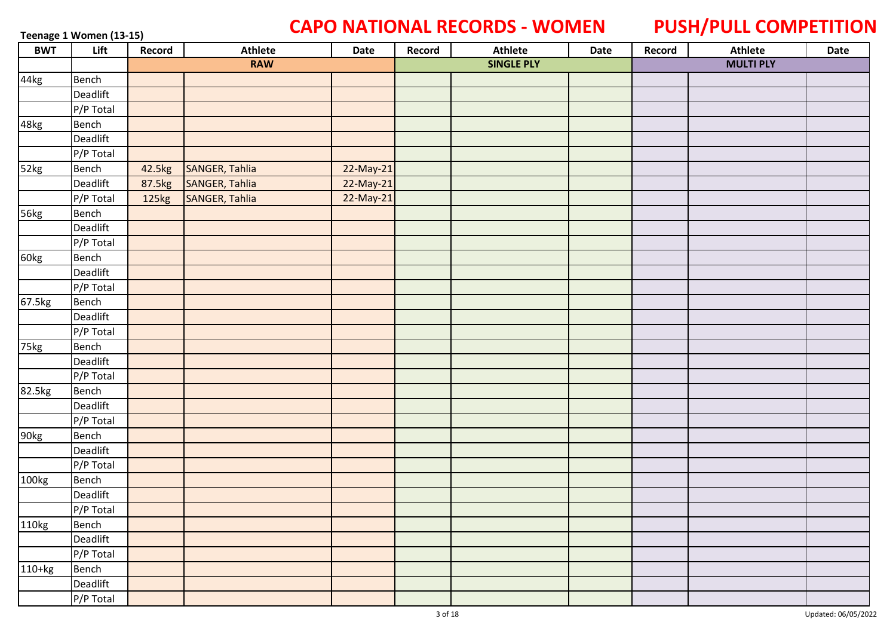### **Teenage 1 Women (13-15) CAPO NATIONAL RECORDS - WOMEN PUSH/PULL COMPETITION**

| <b>BWT</b> | Lift      | Record | Athlete        | Date        | Record | <b>Athlete</b>    | Date | Record | Athlete          | Date |
|------------|-----------|--------|----------------|-------------|--------|-------------------|------|--------|------------------|------|
|            |           |        | <b>RAW</b>     |             |        | <b>SINGLE PLY</b> |      |        | <b>MULTI PLY</b> |      |
| 44kg       | Bench     |        |                |             |        |                   |      |        |                  |      |
|            | Deadlift  |        |                |             |        |                   |      |        |                  |      |
|            | P/P Total |        |                |             |        |                   |      |        |                  |      |
| 48kg       | Bench     |        |                |             |        |                   |      |        |                  |      |
|            | Deadlift  |        |                |             |        |                   |      |        |                  |      |
|            | P/P Total |        |                |             |        |                   |      |        |                  |      |
| 52kg       | Bench     | 42.5kg | SANGER, Tahlia | 22-May-21   |        |                   |      |        |                  |      |
|            | Deadlift  | 87.5kg | SANGER, Tahlia | $22-May-21$ |        |                   |      |        |                  |      |
|            | P/P Total | 125kg  | SANGER, Tahlia | 22-May-21   |        |                   |      |        |                  |      |
| 56kg       | Bench     |        |                |             |        |                   |      |        |                  |      |
|            | Deadlift  |        |                |             |        |                   |      |        |                  |      |
|            | P/P Total |        |                |             |        |                   |      |        |                  |      |
| 60kg       | Bench     |        |                |             |        |                   |      |        |                  |      |
|            | Deadlift  |        |                |             |        |                   |      |        |                  |      |
|            | P/P Total |        |                |             |        |                   |      |        |                  |      |
| 67.5kg     | Bench     |        |                |             |        |                   |      |        |                  |      |
|            | Deadlift  |        |                |             |        |                   |      |        |                  |      |
|            | P/P Total |        |                |             |        |                   |      |        |                  |      |
| 75kg       | Bench     |        |                |             |        |                   |      |        |                  |      |
|            | Deadlift  |        |                |             |        |                   |      |        |                  |      |
|            | P/P Total |        |                |             |        |                   |      |        |                  |      |
| 82.5kg     | Bench     |        |                |             |        |                   |      |        |                  |      |
|            | Deadlift  |        |                |             |        |                   |      |        |                  |      |
|            | P/P Total |        |                |             |        |                   |      |        |                  |      |
| 90kg       | Bench     |        |                |             |        |                   |      |        |                  |      |
|            | Deadlift  |        |                |             |        |                   |      |        |                  |      |
|            | P/P Total |        |                |             |        |                   |      |        |                  |      |
| 100kg      | Bench     |        |                |             |        |                   |      |        |                  |      |
|            | Deadlift  |        |                |             |        |                   |      |        |                  |      |
|            | P/P Total |        |                |             |        |                   |      |        |                  |      |
| 110kg      | Bench     |        |                |             |        |                   |      |        |                  |      |
|            | Deadlift  |        |                |             |        |                   |      |        |                  |      |
|            | P/P Total |        |                |             |        |                   |      |        |                  |      |
| $110+kg$   | Bench     |        |                |             |        |                   |      |        |                  |      |
|            | Deadlift  |        |                |             |        |                   |      |        |                  |      |
|            | P/P Total |        |                |             |        |                   |      |        |                  |      |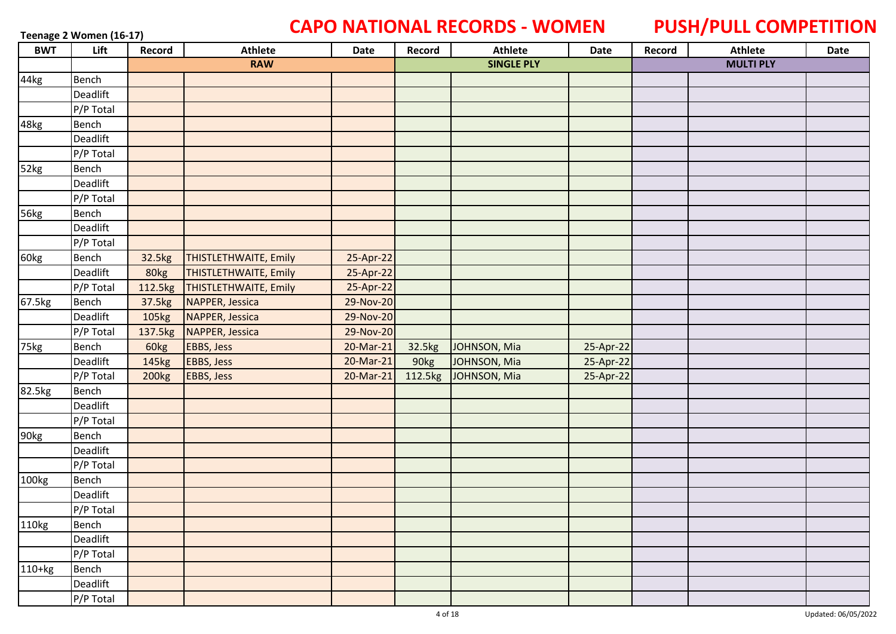# **Teenage 2 Women (16-17) CAPO NATIONAL RECORDS - WOMEN PUSH/PULL COMPETITION**

| <b>BWT</b> | Lift         | Record       | <b>Athlete</b>               | Date      | Record  | <b>Athlete</b>    | Date      | Record | <b>Athlete</b>   | Date |
|------------|--------------|--------------|------------------------------|-----------|---------|-------------------|-----------|--------|------------------|------|
|            |              |              | <b>RAW</b>                   |           |         | <b>SINGLE PLY</b> |           |        | <b>MULTI PLY</b> |      |
| 44kg       | <b>Bench</b> |              |                              |           |         |                   |           |        |                  |      |
|            | Deadlift     |              |                              |           |         |                   |           |        |                  |      |
|            | P/P Total    |              |                              |           |         |                   |           |        |                  |      |
| 48kg       | Bench        |              |                              |           |         |                   |           |        |                  |      |
|            | Deadlift     |              |                              |           |         |                   |           |        |                  |      |
|            | P/P Total    |              |                              |           |         |                   |           |        |                  |      |
| 52kg       | Bench        |              |                              |           |         |                   |           |        |                  |      |
|            | Deadlift     |              |                              |           |         |                   |           |        |                  |      |
|            | P/P Total    |              |                              |           |         |                   |           |        |                  |      |
| 56kg       | <b>Bench</b> |              |                              |           |         |                   |           |        |                  |      |
|            | Deadlift     |              |                              |           |         |                   |           |        |                  |      |
|            | P/P Total    |              |                              |           |         |                   |           |        |                  |      |
| 60kg       | Bench        | 32.5kg       | <b>THISTLETHWAITE, Emily</b> | 25-Apr-22 |         |                   |           |        |                  |      |
|            | Deadlift     | 80kg         | <b>THISTLETHWAITE, Emily</b> | 25-Apr-22 |         |                   |           |        |                  |      |
|            | P/P Total    | 112.5kg      | THISTLETHWAITE, Emily        | 25-Apr-22 |         |                   |           |        |                  |      |
| 67.5kg     | Bench        | 37.5kg       | NAPPER, Jessica              | 29-Nov-20 |         |                   |           |        |                  |      |
|            | Deadlift     | 105kg        | NAPPER, Jessica              | 29-Nov-20 |         |                   |           |        |                  |      |
|            | P/P Total    | 137.5kg      | NAPPER, Jessica              | 29-Nov-20 |         |                   |           |        |                  |      |
| 75kg       | Bench        | 60kg         | <b>EBBS, Jess</b>            | 20-Mar-21 | 32.5kg  | JOHNSON, Mia      | 25-Apr-22 |        |                  |      |
|            | Deadlift     | 145kg        | <b>EBBS, Jess</b>            | 20-Mar-21 | 90kg    | JOHNSON, Mia      | 25-Apr-22 |        |                  |      |
|            | P/P Total    | <b>200kg</b> | <b>EBBS, Jess</b>            | 20-Mar-21 | 112.5kg | JOHNSON, Mia      | 25-Apr-22 |        |                  |      |
| 82.5kg     | Bench        |              |                              |           |         |                   |           |        |                  |      |
|            | Deadlift     |              |                              |           |         |                   |           |        |                  |      |
|            | P/P Total    |              |                              |           |         |                   |           |        |                  |      |
| 90kg       | Bench        |              |                              |           |         |                   |           |        |                  |      |
|            | Deadlift     |              |                              |           |         |                   |           |        |                  |      |
|            | P/P Total    |              |                              |           |         |                   |           |        |                  |      |
| 100kg      | Bench        |              |                              |           |         |                   |           |        |                  |      |
|            | Deadlift     |              |                              |           |         |                   |           |        |                  |      |
|            | P/P Total    |              |                              |           |         |                   |           |        |                  |      |
| 110kg      | Bench        |              |                              |           |         |                   |           |        |                  |      |
|            | Deadlift     |              |                              |           |         |                   |           |        |                  |      |
|            | P/P Total    |              |                              |           |         |                   |           |        |                  |      |
| $110+kg$   | Bench        |              |                              |           |         |                   |           |        |                  |      |
|            | Deadlift     |              |                              |           |         |                   |           |        |                  |      |
|            | P/P Total    |              |                              |           |         |                   |           |        |                  |      |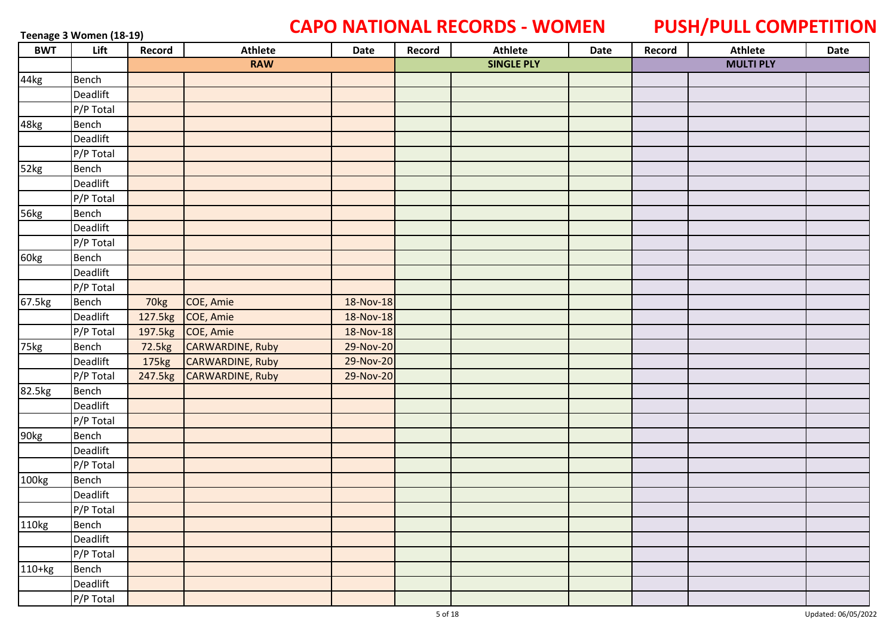# **Teenage 3 Women (18-19) CAPO NATIONAL RECORDS - WOMEN PUSH/PULL COMPETITION**

| <b>BWT</b> | Lift      | Record | Athlete                  | Date      | Record | <b>Athlete</b>    | Date | Record | <b>Athlete</b>   | Date |
|------------|-----------|--------|--------------------------|-----------|--------|-------------------|------|--------|------------------|------|
|            |           |        | <b>RAW</b>               |           |        | <b>SINGLE PLY</b> |      |        | <b>MULTI PLY</b> |      |
| 44kg       | Bench     |        |                          |           |        |                   |      |        |                  |      |
|            | Deadlift  |        |                          |           |        |                   |      |        |                  |      |
|            | P/P Total |        |                          |           |        |                   |      |        |                  |      |
| 48kg       | Bench     |        |                          |           |        |                   |      |        |                  |      |
|            | Deadlift  |        |                          |           |        |                   |      |        |                  |      |
|            | P/P Total |        |                          |           |        |                   |      |        |                  |      |
| 52kg       | Bench     |        |                          |           |        |                   |      |        |                  |      |
|            | Deadlift  |        |                          |           |        |                   |      |        |                  |      |
|            | P/P Total |        |                          |           |        |                   |      |        |                  |      |
| 56kg       | Bench     |        |                          |           |        |                   |      |        |                  |      |
|            | Deadlift  |        |                          |           |        |                   |      |        |                  |      |
|            | P/P Total |        |                          |           |        |                   |      |        |                  |      |
| 60kg       | Bench     |        |                          |           |        |                   |      |        |                  |      |
|            | Deadlift  |        |                          |           |        |                   |      |        |                  |      |
|            | P/P Total |        |                          |           |        |                   |      |        |                  |      |
| 67.5kg     | Bench     | 70kg   | COE, Amie                | 18-Nov-18 |        |                   |      |        |                  |      |
|            | Deadlift  |        | 127.5kg COE, Amie        | 18-Nov-18 |        |                   |      |        |                  |      |
|            | P/P Total |        | 197.5kg COE, Amie        | 18-Nov-18 |        |                   |      |        |                  |      |
| 75kg       | Bench     |        | 72.5kg CARWARDINE, Ruby  | 29-Nov-20 |        |                   |      |        |                  |      |
|            | Deadlift  | 175kg  | CARWARDINE, Ruby         | 29-Nov-20 |        |                   |      |        |                  |      |
|            | P/P Total |        | 247.5kg CARWARDINE, Ruby | 29-Nov-20 |        |                   |      |        |                  |      |
| 82.5kg     | Bench     |        |                          |           |        |                   |      |        |                  |      |
|            | Deadlift  |        |                          |           |        |                   |      |        |                  |      |
|            | P/P Total |        |                          |           |        |                   |      |        |                  |      |
| 90kg       | Bench     |        |                          |           |        |                   |      |        |                  |      |
|            | Deadlift  |        |                          |           |        |                   |      |        |                  |      |
|            | P/P Total |        |                          |           |        |                   |      |        |                  |      |
| 100kg      | Bench     |        |                          |           |        |                   |      |        |                  |      |
|            | Deadlift  |        |                          |           |        |                   |      |        |                  |      |
|            | P/P Total |        |                          |           |        |                   |      |        |                  |      |
| 110kg      | Bench     |        |                          |           |        |                   |      |        |                  |      |
|            | Deadlift  |        |                          |           |        |                   |      |        |                  |      |
|            | P/P Total |        |                          |           |        |                   |      |        |                  |      |
| $110+kg$   | Bench     |        |                          |           |        |                   |      |        |                  |      |
|            | Deadlift  |        |                          |           |        |                   |      |        |                  |      |
|            | P/P Total |        |                          |           |        |                   |      |        |                  |      |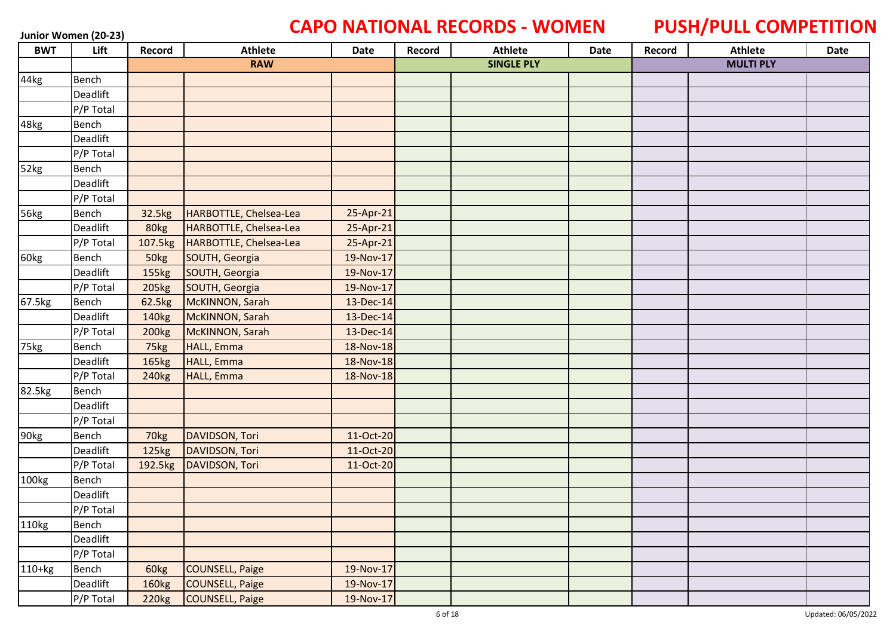### **Junior Women (20-23) CAPO NATIONAL RECORDS - WOMEN PUSH/PULL COMPETITION**

| <b>BWT</b> | Lift         | Record            | Athlete                | Date      | Record | <b>Athlete</b>    | Date | Record | <b>Athlete</b>   | Date |
|------------|--------------|-------------------|------------------------|-----------|--------|-------------------|------|--------|------------------|------|
|            |              |                   | <b>RAW</b>             |           |        | <b>SINGLE PLY</b> |      |        | <b>MULTI PLY</b> |      |
| 44kg       | Bench        |                   |                        |           |        |                   |      |        |                  |      |
|            | Deadlift     |                   |                        |           |        |                   |      |        |                  |      |
|            | P/P Total    |                   |                        |           |        |                   |      |        |                  |      |
| 48kg       | Bench        |                   |                        |           |        |                   |      |        |                  |      |
|            | Deadlift     |                   |                        |           |        |                   |      |        |                  |      |
|            | P/P Total    |                   |                        |           |        |                   |      |        |                  |      |
| 52kg       | Bench        |                   |                        |           |        |                   |      |        |                  |      |
|            | Deadlift     |                   |                        |           |        |                   |      |        |                  |      |
|            | P/P Total    |                   |                        |           |        |                   |      |        |                  |      |
| 56kg       | Bench        | 32.5kg            | HARBOTTLE, Chelsea-Lea | 25-Apr-21 |        |                   |      |        |                  |      |
|            | Deadlift     | 80kg              | HARBOTTLE, Chelsea-Lea | 25-Apr-21 |        |                   |      |        |                  |      |
|            | P/P Total    | 107.5kg           | HARBOTTLE, Chelsea-Lea | 25-Apr-21 |        |                   |      |        |                  |      |
| 60kg       | Bench        | 50kg              | SOUTH, Georgia         | 19-Nov-17 |        |                   |      |        |                  |      |
|            | Deadlift     | 155kg             | SOUTH, Georgia         | 19-Nov-17 |        |                   |      |        |                  |      |
|            | P/P Total    | 205 <sub>kg</sub> | SOUTH, Georgia         | 19-Nov-17 |        |                   |      |        |                  |      |
| 67.5kg     | Bench        | 62.5kg            | McKINNON, Sarah        | 13-Dec-14 |        |                   |      |        |                  |      |
|            | Deadlift     | 140kg             | McKINNON, Sarah        | 13-Dec-14 |        |                   |      |        |                  |      |
|            | P/P Total    | 200 <sub>kg</sub> | McKINNON, Sarah        | 13-Dec-14 |        |                   |      |        |                  |      |
| 75kg       | Bench        | 75kg              | HALL, Emma             | 18-Nov-18 |        |                   |      |        |                  |      |
|            | Deadlift     | 165kg             | <b>HALL, Emma</b>      | 18-Nov-18 |        |                   |      |        |                  |      |
|            | P/P Total    | 240 <sub>kg</sub> | <b>HALL, Emma</b>      | 18-Nov-18 |        |                   |      |        |                  |      |
| 82.5kg     | Bench        |                   |                        |           |        |                   |      |        |                  |      |
|            | Deadlift     |                   |                        |           |        |                   |      |        |                  |      |
|            | P/P Total    |                   |                        |           |        |                   |      |        |                  |      |
| 90kg       | <b>Bench</b> | 70kg              | DAVIDSON, Tori         | 11-Oct-20 |        |                   |      |        |                  |      |
|            | Deadlift     | 125kg             | DAVIDSON, Tori         | 11-Oct-20 |        |                   |      |        |                  |      |
|            | P/P Total    | 192.5kg           | DAVIDSON, Tori         | 11-Oct-20 |        |                   |      |        |                  |      |
| 100kg      | <b>Bench</b> |                   |                        |           |        |                   |      |        |                  |      |
|            | Deadlift     |                   |                        |           |        |                   |      |        |                  |      |
|            | P/P Total    |                   |                        |           |        |                   |      |        |                  |      |
| 110kg      | Bench        |                   |                        |           |        |                   |      |        |                  |      |
|            | Deadlift     |                   |                        |           |        |                   |      |        |                  |      |
|            | P/P Total    |                   |                        |           |        |                   |      |        |                  |      |
| $110+kg$   | Bench        | 60kg              | <b>COUNSELL, Paige</b> | 19-Nov-17 |        |                   |      |        |                  |      |
|            | Deadlift     | 160kg             | COUNSELL, Paige        | 19-Nov-17 |        |                   |      |        |                  |      |
|            | P/P Total    | 220 <sub>kg</sub> | <b>COUNSELL, Paige</b> | 19-Nov-17 |        |                   |      |        |                  |      |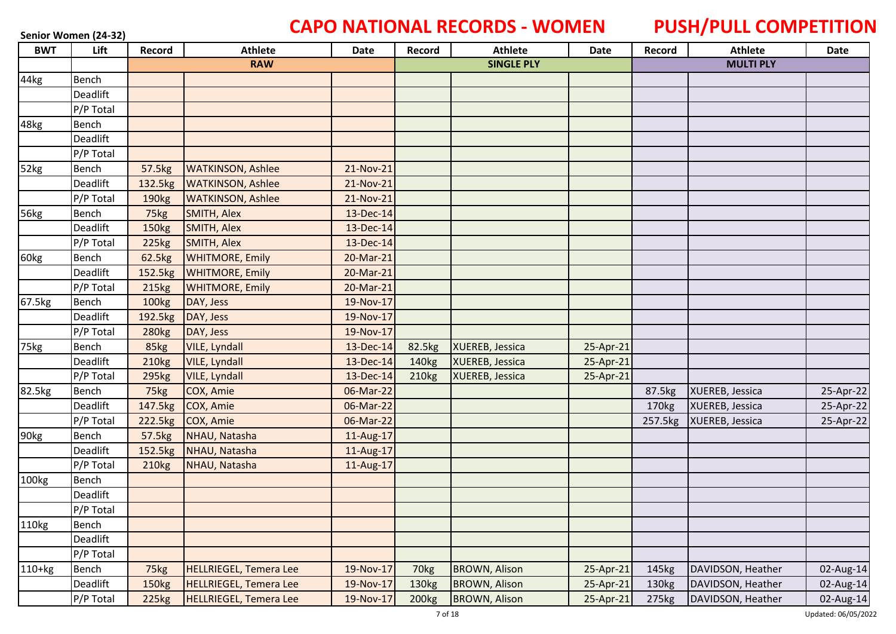# Senior Women (24-32) **CAPO NATIONAL RECORDS - WOMEN** PUSH/PULL COMPETITION

| <b>BWT</b> | Lift      | Record            | <b>Athlete</b>                | Date      | Record            | <b>Athlete</b>         | <b>Date</b> | Record  | <b>Athlete</b>    | Date      |
|------------|-----------|-------------------|-------------------------------|-----------|-------------------|------------------------|-------------|---------|-------------------|-----------|
|            |           |                   | <b>RAW</b>                    |           |                   | <b>SINGLE PLY</b>      |             |         | <b>MULTI PLY</b>  |           |
| 44kg       | Bench     |                   |                               |           |                   |                        |             |         |                   |           |
|            | Deadlift  |                   |                               |           |                   |                        |             |         |                   |           |
|            | P/P Total |                   |                               |           |                   |                        |             |         |                   |           |
| 48kg       | Bench     |                   |                               |           |                   |                        |             |         |                   |           |
|            | Deadlift  |                   |                               |           |                   |                        |             |         |                   |           |
|            | P/P Total |                   |                               |           |                   |                        |             |         |                   |           |
| 52kg       | Bench     | 57.5kg            | <b>WATKINSON, Ashlee</b>      | 21-Nov-21 |                   |                        |             |         |                   |           |
|            | Deadlift  | 132.5kg           | <b>WATKINSON, Ashlee</b>      | 21-Nov-21 |                   |                        |             |         |                   |           |
|            | P/P Total | 190 <sub>kg</sub> | <b>WATKINSON, Ashlee</b>      | 21-Nov-21 |                   |                        |             |         |                   |           |
| 56kg       | Bench     | 75kg              | SMITH, Alex                   | 13-Dec-14 |                   |                        |             |         |                   |           |
|            | Deadlift  | 150kg             | SMITH, Alex                   | 13-Dec-14 |                   |                        |             |         |                   |           |
|            | P/P Total | 225kg             | SMITH, Alex                   | 13-Dec-14 |                   |                        |             |         |                   |           |
| 60kg       | Bench     | 62.5kg            | <b>WHITMORE, Emily</b>        | 20-Mar-21 |                   |                        |             |         |                   |           |
|            | Deadlift  | 152.5kg           | <b>WHITMORE, Emily</b>        | 20-Mar-21 |                   |                        |             |         |                   |           |
|            | P/P Total | 215kg             | <b>WHITMORE, Emily</b>        | 20-Mar-21 |                   |                        |             |         |                   |           |
| 67.5kg     | Bench     | 100 <sub>kg</sub> | DAY, Jess                     | 19-Nov-17 |                   |                        |             |         |                   |           |
|            | Deadlift  | 192.5kg           | DAY, Jess                     | 19-Nov-17 |                   |                        |             |         |                   |           |
|            | P/P Total | 280 <sub>kg</sub> | DAY, Jess                     | 19-Nov-17 |                   |                        |             |         |                   |           |
| 75kg       | Bench     | 85kg              | <b>VILE, Lyndall</b>          | 13-Dec-14 | 82.5kg            | <b>XUEREB, Jessica</b> | 25-Apr-21   |         |                   |           |
|            | Deadlift  | 210 <sub>kg</sub> | <b>VILE, Lyndall</b>          | 13-Dec-14 | 140 <sub>kg</sub> | <b>XUEREB, Jessica</b> | 25-Apr-21   |         |                   |           |
|            | P/P Total | 295kg             | <b>VILE, Lyndall</b>          | 13-Dec-14 | 210 <sub>kg</sub> | XUEREB, Jessica        | 25-Apr-21   |         |                   |           |
| 82.5kg     | Bench     | 75kg              | COX, Amie                     | 06-Mar-22 |                   |                        |             | 87.5kg  | XUEREB, Jessica   | 25-Apr-22 |
|            | Deadlift  | 147.5kg           | COX, Amie                     | 06-Mar-22 |                   |                        |             | 170kg   | XUEREB, Jessica   | 25-Apr-22 |
|            | P/P Total | 222.5kg           | COX, Amie                     | 06-Mar-22 |                   |                        |             | 257.5kg | XUEREB, Jessica   | 25-Apr-22 |
| 90kg       | Bench     | 57.5kg            | NHAU, Natasha                 | 11-Aug-17 |                   |                        |             |         |                   |           |
|            | Deadlift  | 152.5kg           | NHAU, Natasha                 | 11-Aug-17 |                   |                        |             |         |                   |           |
|            | P/P Total | 210 <sub>kg</sub> | NHAU, Natasha                 | 11-Aug-17 |                   |                        |             |         |                   |           |
| 100kg      | Bench     |                   |                               |           |                   |                        |             |         |                   |           |
|            | Deadlift  |                   |                               |           |                   |                        |             |         |                   |           |
|            | P/P Total |                   |                               |           |                   |                        |             |         |                   |           |
| 110kg      | Bench     |                   |                               |           |                   |                        |             |         |                   |           |
|            | Deadlift  |                   |                               |           |                   |                        |             |         |                   |           |
|            | P/P Total |                   |                               |           |                   |                        |             |         |                   |           |
| $110+kg$   | Bench     | 75kg              | <b>HELLRIEGEL, Temera Lee</b> | 19-Nov-17 | 70 <sub>kg</sub>  | <b>BROWN, Alison</b>   | 25-Apr-21   | 145kg   | DAVIDSON, Heather | 02-Aug-14 |
|            | Deadlift  | 150kg             | <b>HELLRIEGEL, Temera Lee</b> | 19-Nov-17 | 130kg             | <b>BROWN, Alison</b>   | 25-Apr-21   | 130kg   | DAVIDSON, Heather | 02-Aug-14 |
|            | P/P Total | <b>225kg</b>      | <b>HELLRIEGEL, Temera Lee</b> | 19-Nov-17 | 200 <sub>kg</sub> | <b>BROWN, Alison</b>   | 25-Apr-21   | 275kg   | DAVIDSON, Heather | 02-Aug-14 |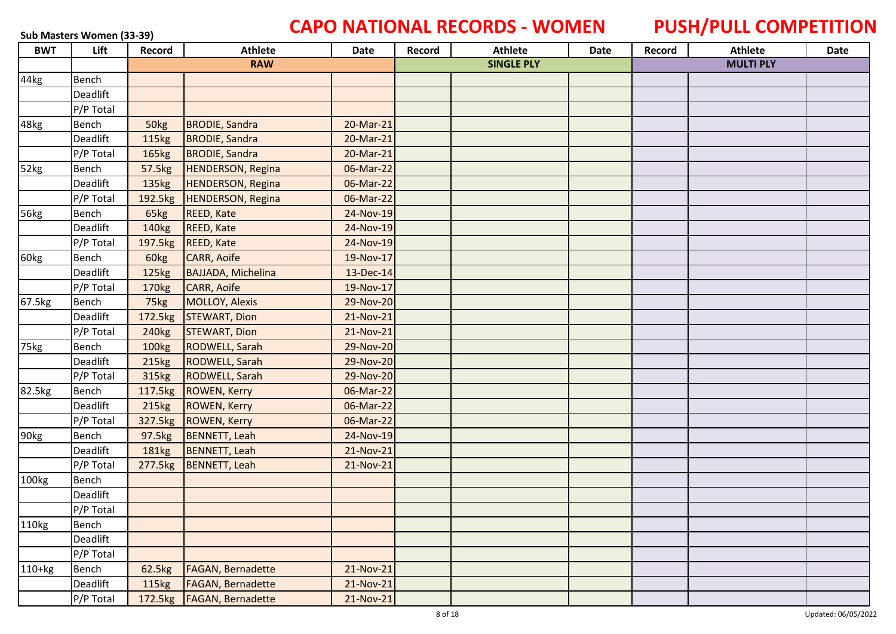# **Sub Masters Women (33-39) CAPO NATIONAL RECORDS - WOMEN PUSH/PULL COMPETITION**

| <b>BWT</b> | Lift            | Record            | <b>Athlete</b>           | Date      | Record | <b>Athlete</b>    | Date | Record | <b>Athlete</b>   | Date |
|------------|-----------------|-------------------|--------------------------|-----------|--------|-------------------|------|--------|------------------|------|
|            |                 |                   | <b>RAW</b>               |           |        | <b>SINGLE PLY</b> |      |        | <b>MULTI PLY</b> |      |
| 44kg       | Bench           |                   |                          |           |        |                   |      |        |                  |      |
|            | Deadlift        |                   |                          |           |        |                   |      |        |                  |      |
|            | P/P Total       |                   |                          |           |        |                   |      |        |                  |      |
| 48kg       | Bench           | 50kg              | <b>BRODIE, Sandra</b>    | 20-Mar-21 |        |                   |      |        |                  |      |
|            | <b>Deadlift</b> | 115kg             | <b>BRODIE, Sandra</b>    | 20-Mar-21 |        |                   |      |        |                  |      |
|            | P/P Total       | 165kg             | <b>BRODIE, Sandra</b>    | 20-Mar-21 |        |                   |      |        |                  |      |
| 52kg       | Bench           | 57.5kg            | HENDERSON, Regina        | 06-Mar-22 |        |                   |      |        |                  |      |
|            | Deadlift        | 135kg             | <b>HENDERSON, Regina</b> | 06-Mar-22 |        |                   |      |        |                  |      |
|            | P/P Total       | 192.5kg           | HENDERSON, Regina        | 06-Mar-22 |        |                   |      |        |                  |      |
| 56kg       | Bench           | 65kg              | <b>REED, Kate</b>        | 24-Nov-19 |        |                   |      |        |                  |      |
|            | Deadlift        | 140 <sub>kg</sub> | REED, Kate               | 24-Nov-19 |        |                   |      |        |                  |      |
|            | P/P Total       |                   | 197.5kg REED, Kate       | 24-Nov-19 |        |                   |      |        |                  |      |
| 60kg       | Bench           | 60kg              | CARR, Aoife              | 19-Nov-17 |        |                   |      |        |                  |      |
|            | Deadlift        | 125kg             | BAJJADA, Michelina       | 13-Dec-14 |        |                   |      |        |                  |      |
|            | P/P Total       | 170 <sub>kg</sub> | <b>CARR, Aoife</b>       | 19-Nov-17 |        |                   |      |        |                  |      |
| 67.5kg     | Bench           | 75kg              | MOLLOY, Alexis           | 29-Nov-20 |        |                   |      |        |                  |      |
|            | Deadlift        | 172.5kg           | <b>STEWART, Dion</b>     | 21-Nov-21 |        |                   |      |        |                  |      |
|            | P/P Total       | 240 <sub>kg</sub> | <b>STEWART, Dion</b>     | 21-Nov-21 |        |                   |      |        |                  |      |
| 75kg       | Bench           | 100 <sub>kg</sub> | RODWELL, Sarah           | 29-Nov-20 |        |                   |      |        |                  |      |
|            | Deadlift        | 215kg             | <b>RODWELL, Sarah</b>    | 29-Nov-20 |        |                   |      |        |                  |      |
|            | P/P Total       | 315kg             | <b>RODWELL, Sarah</b>    | 29-Nov-20 |        |                   |      |        |                  |      |
| 82.5kg     | Bench           |                   | 117.5kg ROWEN, Kerry     | 06-Mar-22 |        |                   |      |        |                  |      |
|            | Deadlift        | 215kg             | ROWEN, Kerry             | 06-Mar-22 |        |                   |      |        |                  |      |
|            | P/P Total       | 327.5kg           | ROWEN, Kerry             | 06-Mar-22 |        |                   |      |        |                  |      |
| 90kg       | Bench           | 97.5kg            | BENNETT, Leah            | 24-Nov-19 |        |                   |      |        |                  |      |
|            | Deadlift        | 181kg             | BENNETT, Leah            | 21-Nov-21 |        |                   |      |        |                  |      |
|            | P/P Total       | 277.5kg           | BENNETT, Leah            | 21-Nov-21 |        |                   |      |        |                  |      |
| 100kg      | Bench           |                   |                          |           |        |                   |      |        |                  |      |
|            | Deadlift        |                   |                          |           |        |                   |      |        |                  |      |
|            | P/P Total       |                   |                          |           |        |                   |      |        |                  |      |
| 110kg      | Bench           |                   |                          |           |        |                   |      |        |                  |      |
|            | Deadlift        |                   |                          |           |        |                   |      |        |                  |      |
|            | P/P Total       |                   |                          |           |        |                   |      |        |                  |      |
| $110+kg$   | Bench           | 62.5kg            | <b>FAGAN, Bernadette</b> | 21-Nov-21 |        |                   |      |        |                  |      |
|            | Deadlift        | 115kg             | FAGAN, Bernadette        | 21-Nov-21 |        |                   |      |        |                  |      |
|            | P/P Total       | 172.5kg           | <b>FAGAN, Bernadette</b> | 21-Nov-21 |        |                   |      |        |                  |      |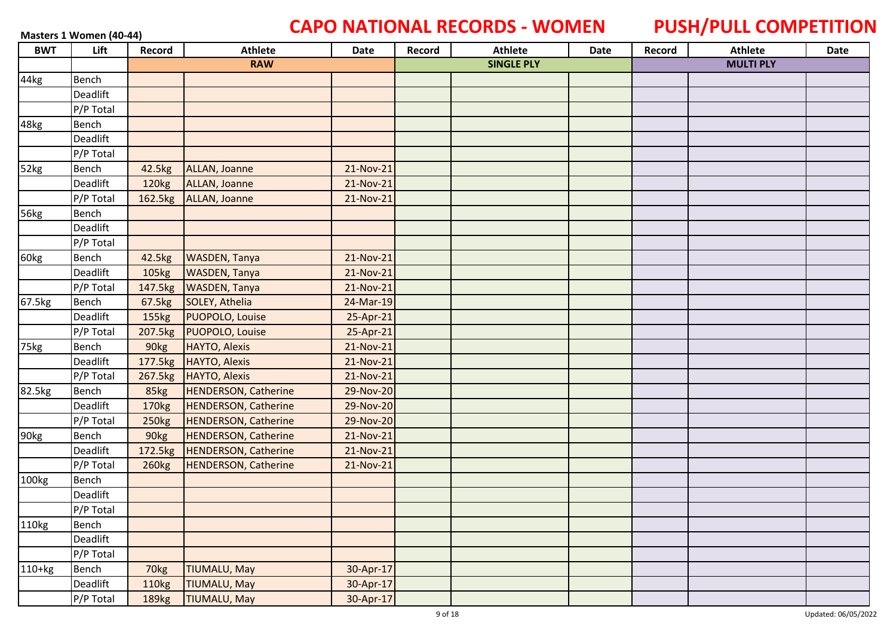### **Masters 1 Women (40-44) CAPO NATIONAL RECORDS - WOMEN PUSH/PULL COMPETITION**

| <b>BWT</b> | Lift         | Record            | <b>Athlete</b>               | Date      | Record | <b>Athlete</b>    | Date | Record | <b>Athlete</b>   | Date |
|------------|--------------|-------------------|------------------------------|-----------|--------|-------------------|------|--------|------------------|------|
|            |              |                   | <b>RAW</b>                   |           |        | <b>SINGLE PLY</b> |      |        | <b>MULTI PLY</b> |      |
| 44kg       | Bench        |                   |                              |           |        |                   |      |        |                  |      |
|            | Deadlift     |                   |                              |           |        |                   |      |        |                  |      |
|            | P/P Total    |                   |                              |           |        |                   |      |        |                  |      |
| 48kg       | Bench        |                   |                              |           |        |                   |      |        |                  |      |
|            | Deadlift     |                   |                              |           |        |                   |      |        |                  |      |
|            | P/P Total    |                   |                              |           |        |                   |      |        |                  |      |
| 52kg       | Bench        | 42.5kg            | ALLAN, Joanne                | 21-Nov-21 |        |                   |      |        |                  |      |
|            | Deadlift     | 120 <sub>kg</sub> | ALLAN, Joanne                | 21-Nov-21 |        |                   |      |        |                  |      |
|            | P/P Total    |                   | 162.5kg ALLAN, Joanne        | 21-Nov-21 |        |                   |      |        |                  |      |
| 56kg       | <b>Bench</b> |                   |                              |           |        |                   |      |        |                  |      |
|            | Deadlift     |                   |                              |           |        |                   |      |        |                  |      |
|            | P/P Total    |                   |                              |           |        |                   |      |        |                  |      |
| 60kg       | Bench        | 42.5kg            | <b>WASDEN, Tanya</b>         | 21-Nov-21 |        |                   |      |        |                  |      |
|            | Deadlift     | 105kg             | <b>WASDEN, Tanya</b>         | 21-Nov-21 |        |                   |      |        |                  |      |
|            | P/P Total    | 147.5kg           | <b>WASDEN, Tanya</b>         | 21-Nov-21 |        |                   |      |        |                  |      |
| 67.5kg     | <b>Bench</b> | 67.5kg            | SOLEY, Athelia               | 24-Mar-19 |        |                   |      |        |                  |      |
|            | Deadlift     | 155kg             | PUOPOLO, Louise              | 25-Apr-21 |        |                   |      |        |                  |      |
|            | P/P Total    |                   | 207.5kg PUOPOLO, Louise      | 25-Apr-21 |        |                   |      |        |                  |      |
| 75kg       | Bench        | 90kg              | HAYTO, Alexis                | 21-Nov-21 |        |                   |      |        |                  |      |
|            | Deadlift     |                   | 177.5kg HAYTO, Alexis        | 21-Nov-21 |        |                   |      |        |                  |      |
|            | P/P Total    | 267.5kg           | HAYTO, Alexis                | 21-Nov-21 |        |                   |      |        |                  |      |
| 82.5kg     | Bench        | 85kg              | <b>HENDERSON, Catherine</b>  | 29-Nov-20 |        |                   |      |        |                  |      |
|            | Deadlift     | 170 <sub>kg</sub> | <b>HENDERSON, Catherine</b>  | 29-Nov-20 |        |                   |      |        |                  |      |
|            | P/P Total    | 250kg             | <b>HENDERSON, Catherine</b>  | 29-Nov-20 |        |                   |      |        |                  |      |
| 90kg       | Bench        | 90kg              | <b>HENDERSON, Catherine</b>  | 21-Nov-21 |        |                   |      |        |                  |      |
|            | Deadlift     |                   | 172.5kg HENDERSON, Catherine | 21-Nov-21 |        |                   |      |        |                  |      |
|            | P/P Total    | 260 <sub>kg</sub> | <b>HENDERSON, Catherine</b>  | 21-Nov-21 |        |                   |      |        |                  |      |
| 100kg      | Bench        |                   |                              |           |        |                   |      |        |                  |      |
|            | Deadlift     |                   |                              |           |        |                   |      |        |                  |      |
|            | P/P Total    |                   |                              |           |        |                   |      |        |                  |      |
| 110kg      | Bench        |                   |                              |           |        |                   |      |        |                  |      |
|            | Deadlift     |                   |                              |           |        |                   |      |        |                  |      |
|            | P/P Total    |                   |                              |           |        |                   |      |        |                  |      |
| $110+kg$   | Bench        | 70kg              | <b>TIUMALU, May</b>          | 30-Apr-17 |        |                   |      |        |                  |      |
|            | Deadlift     | 110kg             | <b>TIUMALU, May</b>          | 30-Apr-17 |        |                   |      |        |                  |      |
|            | P/P Total    | 189 <sub>kg</sub> | <b>TIUMALU, May</b>          | 30-Apr-17 |        |                   |      |        |                  |      |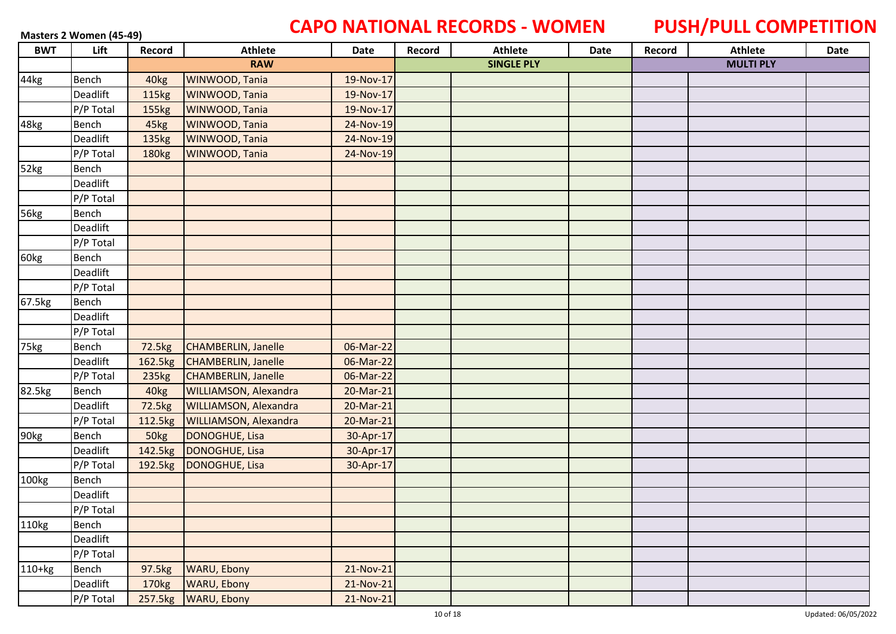# **Masters 2 Women (45-49) CAPO NATIONAL RECORDS - WOMEN PUSH/PULL COMPETITION**

| <b>BWT</b> | Lift      | Record            | <b>Athlete</b>               | Date      | Record | <b>Athlete</b>    | Date | Record | <b>Athlete</b>   | Date |
|------------|-----------|-------------------|------------------------------|-----------|--------|-------------------|------|--------|------------------|------|
|            |           |                   | <b>RAW</b>                   |           |        | <b>SINGLE PLY</b> |      |        | <b>MULTI PLY</b> |      |
| 44kg       | Bench     | 40 <sub>kg</sub>  | WINWOOD, Tania               | 19-Nov-17 |        |                   |      |        |                  |      |
|            | Deadlift  | <b>115kg</b>      | WINWOOD, Tania               | 19-Nov-17 |        |                   |      |        |                  |      |
|            | P/P Total | 155kg             | WINWOOD, Tania               | 19-Nov-17 |        |                   |      |        |                  |      |
| 48kg       | Bench     | 45kg              | WINWOOD, Tania               | 24-Nov-19 |        |                   |      |        |                  |      |
|            | Deadlift  | 135kg             | WINWOOD, Tania               | 24-Nov-19 |        |                   |      |        |                  |      |
|            | P/P Total | 180 <sub>kg</sub> | WINWOOD, Tania               | 24-Nov-19 |        |                   |      |        |                  |      |
| 52kg       | Bench     |                   |                              |           |        |                   |      |        |                  |      |
|            | Deadlift  |                   |                              |           |        |                   |      |        |                  |      |
|            | P/P Total |                   |                              |           |        |                   |      |        |                  |      |
| 56kg       | Bench     |                   |                              |           |        |                   |      |        |                  |      |
|            | Deadlift  |                   |                              |           |        |                   |      |        |                  |      |
|            | P/P Total |                   |                              |           |        |                   |      |        |                  |      |
| 60kg       | Bench     |                   |                              |           |        |                   |      |        |                  |      |
|            | Deadlift  |                   |                              |           |        |                   |      |        |                  |      |
|            | P/P Total |                   |                              |           |        |                   |      |        |                  |      |
| 67.5kg     | Bench     |                   |                              |           |        |                   |      |        |                  |      |
|            | Deadlift  |                   |                              |           |        |                   |      |        |                  |      |
|            | P/P Total |                   |                              |           |        |                   |      |        |                  |      |
| 75kg       | Bench     | 72.5kg            | <b>CHAMBERLIN, Janelle</b>   | 06-Mar-22 |        |                   |      |        |                  |      |
|            | Deadlift  | 162.5kg           | <b>CHAMBERLIN, Janelle</b>   | 06-Mar-22 |        |                   |      |        |                  |      |
|            | P/P Total | 235kg             | <b>CHAMBERLIN, Janelle</b>   | 06-Mar-22 |        |                   |      |        |                  |      |
| 82.5kg     | Bench     | 40kg              | WILLIAMSON, Alexandra        | 20-Mar-21 |        |                   |      |        |                  |      |
|            | Deadlift  | 72.5kg            | WILLIAMSON, Alexandra        | 20-Mar-21 |        |                   |      |        |                  |      |
|            | P/P Total | 112.5kg           | <b>WILLIAMSON, Alexandra</b> | 20-Mar-21 |        |                   |      |        |                  |      |
| 90kg       | Bench     | 50kg              | DONOGHUE, Lisa               | 30-Apr-17 |        |                   |      |        |                  |      |
|            | Deadlift  | 142.5kg           | DONOGHUE, Lisa               | 30-Apr-17 |        |                   |      |        |                  |      |
|            | P/P Total | 192.5kg           | DONOGHUE, Lisa               | 30-Apr-17 |        |                   |      |        |                  |      |
| 100kg      | Bench     |                   |                              |           |        |                   |      |        |                  |      |
|            | Deadlift  |                   |                              |           |        |                   |      |        |                  |      |
|            | P/P Total |                   |                              |           |        |                   |      |        |                  |      |
| 110kg      | Bench     |                   |                              |           |        |                   |      |        |                  |      |
|            | Deadlift  |                   |                              |           |        |                   |      |        |                  |      |
|            | P/P Total |                   |                              |           |        |                   |      |        |                  |      |
| 110+kg     | Bench     | 97.5kg            | <b>WARU, Ebony</b>           | 21-Nov-21 |        |                   |      |        |                  |      |
|            | Deadlift  | 170 <sub>kg</sub> | <b>WARU, Ebony</b>           | 21-Nov-21 |        |                   |      |        |                  |      |
|            | P/P Total | 257.5kg           | <b>WARU, Ebony</b>           | 21-Nov-21 |        |                   |      |        |                  |      |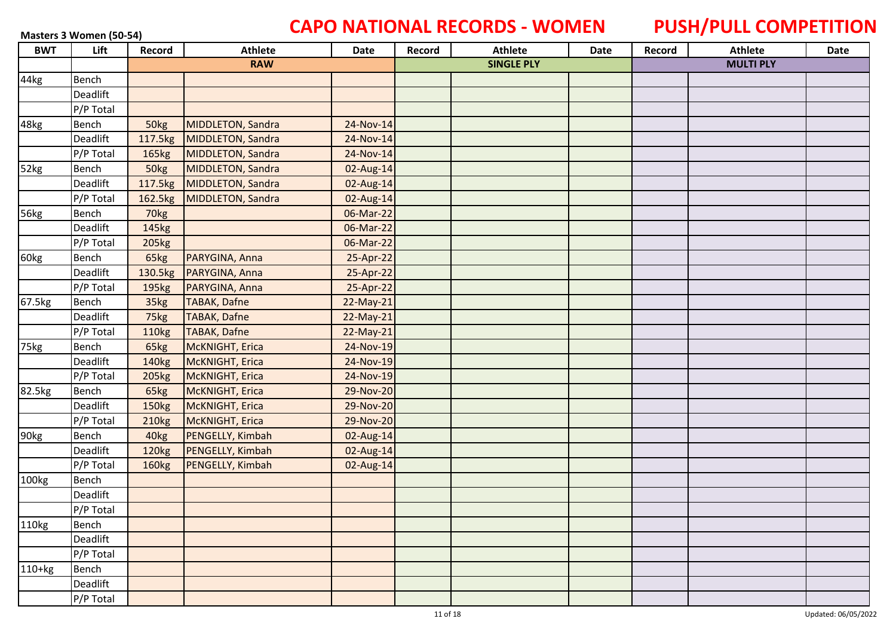# **Masters 3 Women (50-54) CAPO NATIONAL RECORDS - WOMEN** PUSH/PULL COMPETITION

| <b>BWT</b> | Lift         | Record            | <b>Athlete</b>      | Date      | Record | <b>Athlete</b>    | Date | Record | <b>Athlete</b>   | Date |
|------------|--------------|-------------------|---------------------|-----------|--------|-------------------|------|--------|------------------|------|
|            |              |                   | <b>RAW</b>          |           |        | <b>SINGLE PLY</b> |      |        | <b>MULTI PLY</b> |      |
| 44kg       | <b>Bench</b> |                   |                     |           |        |                   |      |        |                  |      |
|            | Deadlift     |                   |                     |           |        |                   |      |        |                  |      |
|            | P/P Total    |                   |                     |           |        |                   |      |        |                  |      |
| 48kg       | Bench        | 50kg              | MIDDLETON, Sandra   | 24-Nov-14 |        |                   |      |        |                  |      |
|            | Deadlift     | 117.5kg           | MIDDLETON, Sandra   | 24-Nov-14 |        |                   |      |        |                  |      |
|            | P/P Total    | 165kg             | MIDDLETON, Sandra   | 24-Nov-14 |        |                   |      |        |                  |      |
| 52kg       | Bench        | 50kg              | MIDDLETON, Sandra   | 02-Aug-14 |        |                   |      |        |                  |      |
|            | Deadlift     | 117.5kg           | MIDDLETON, Sandra   | 02-Aug-14 |        |                   |      |        |                  |      |
|            | P/P Total    | 162.5kg           | MIDDLETON, Sandra   | 02-Aug-14 |        |                   |      |        |                  |      |
| 56kg       | Bench        | 70kg              |                     | 06-Mar-22 |        |                   |      |        |                  |      |
|            | Deadlift     | 145kg             |                     | 06-Mar-22 |        |                   |      |        |                  |      |
|            | P/P Total    | 205kg             |                     | 06-Mar-22 |        |                   |      |        |                  |      |
| 60kg       | Bench        | 65kg              | PARYGINA, Anna      | 25-Apr-22 |        |                   |      |        |                  |      |
|            | Deadlift     | 130.5kg           | PARYGINA, Anna      | 25-Apr-22 |        |                   |      |        |                  |      |
|            | P/P Total    | 195kg             | PARYGINA, Anna      | 25-Apr-22 |        |                   |      |        |                  |      |
| 67.5kg     | <b>Bench</b> | 35kg              | TABAK, Dafne        | 22-May-21 |        |                   |      |        |                  |      |
|            | Deadlift     | 75kg              | <b>TABAK, Dafne</b> | 22-May-21 |        |                   |      |        |                  |      |
|            | P/P Total    | 110kg             | <b>TABAK, Dafne</b> | 22-May-21 |        |                   |      |        |                  |      |
| 75kg       | Bench        | 65kg              | McKNIGHT, Erica     | 24-Nov-19 |        |                   |      |        |                  |      |
|            | Deadlift     | 140 <sub>kg</sub> | McKNIGHT, Erica     | 24-Nov-19 |        |                   |      |        |                  |      |
|            | P/P Total    | 205kg             | McKNIGHT, Erica     | 24-Nov-19 |        |                   |      |        |                  |      |
| 82.5kg     | Bench        | 65kg              | McKNIGHT, Erica     | 29-Nov-20 |        |                   |      |        |                  |      |
|            | Deadlift     | 150kg             | McKNIGHT, Erica     | 29-Nov-20 |        |                   |      |        |                  |      |
|            | P/P Total    | 210 <sub>kg</sub> | McKNIGHT, Erica     | 29-Nov-20 |        |                   |      |        |                  |      |
| 90kg       | Bench        | 40kg              | PENGELLY, Kimbah    | 02-Aug-14 |        |                   |      |        |                  |      |
|            | Deadlift     | 120 <sub>kg</sub> | PENGELLY, Kimbah    | 02-Aug-14 |        |                   |      |        |                  |      |
|            | P/P Total    | 160kg             | PENGELLY, Kimbah    | 02-Aug-14 |        |                   |      |        |                  |      |
| 100kg      | <b>Bench</b> |                   |                     |           |        |                   |      |        |                  |      |
|            | Deadlift     |                   |                     |           |        |                   |      |        |                  |      |
|            | P/P Total    |                   |                     |           |        |                   |      |        |                  |      |
| 110kg      | Bench        |                   |                     |           |        |                   |      |        |                  |      |
|            | Deadlift     |                   |                     |           |        |                   |      |        |                  |      |
|            | P/P Total    |                   |                     |           |        |                   |      |        |                  |      |
| $110+kg$   | Bench        |                   |                     |           |        |                   |      |        |                  |      |
|            | Deadlift     |                   |                     |           |        |                   |      |        |                  |      |
|            | P/P Total    |                   |                     |           |        |                   |      |        |                  |      |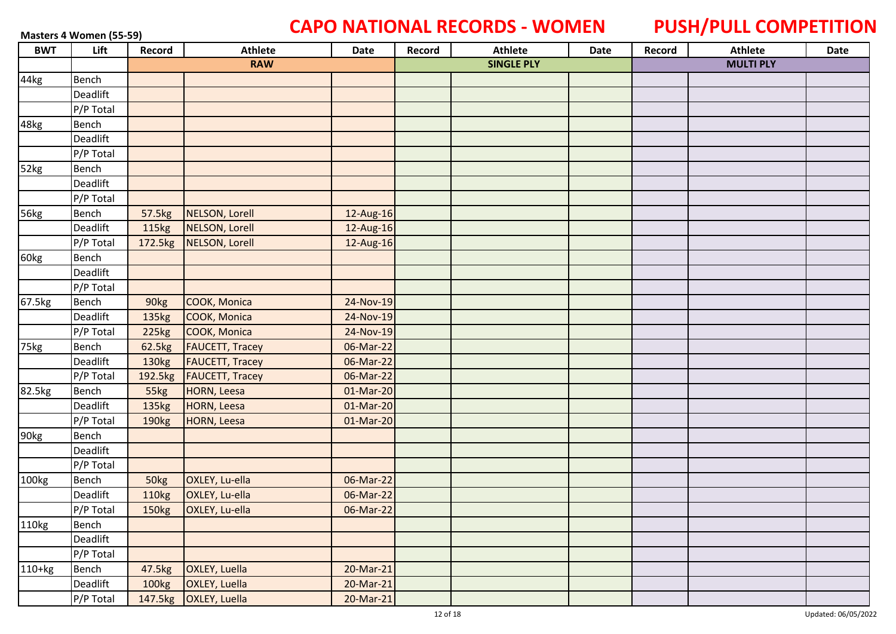# **Masters 4 Women (55-59) CAPO NATIONAL RECORDS - WOMEN PUSH/PULL COMPETITION**

| <b>BWT</b>  | Lift      | Record            | <b>Athlete</b>         | Date        | Record | <b>Athlete</b>    | Date | Record | <b>Athlete</b>   | Date |
|-------------|-----------|-------------------|------------------------|-------------|--------|-------------------|------|--------|------------------|------|
|             |           |                   | <b>RAW</b>             |             |        | <b>SINGLE PLY</b> |      |        | <b>MULTI PLY</b> |      |
| 44kg        | Bench     |                   |                        |             |        |                   |      |        |                  |      |
|             | Deadlift  |                   |                        |             |        |                   |      |        |                  |      |
|             | P/P Total |                   |                        |             |        |                   |      |        |                  |      |
| 48kg        | Bench     |                   |                        |             |        |                   |      |        |                  |      |
|             | Deadlift  |                   |                        |             |        |                   |      |        |                  |      |
|             | P/P Total |                   |                        |             |        |                   |      |        |                  |      |
| 52kg        | Bench     |                   |                        |             |        |                   |      |        |                  |      |
|             | Deadlift  |                   |                        |             |        |                   |      |        |                  |      |
|             | P/P Total |                   |                        |             |        |                   |      |        |                  |      |
| <b>56kg</b> | Bench     | 57.5kg            | NELSON, Lorell         | 12-Aug-16   |        |                   |      |        |                  |      |
|             | Deadlift  | 115kg             | NELSON, Lorell         | 12-Aug-16   |        |                   |      |        |                  |      |
|             | P/P Total |                   | 172.5kg NELSON, Lorell | 12-Aug-16   |        |                   |      |        |                  |      |
| 60kg        | Bench     |                   |                        |             |        |                   |      |        |                  |      |
|             | Deadlift  |                   |                        |             |        |                   |      |        |                  |      |
|             | P/P Total |                   |                        |             |        |                   |      |        |                  |      |
| 67.5kg      | Bench     | 90kg              | COOK, Monica           | 24-Nov-19   |        |                   |      |        |                  |      |
|             | Deadlift  | 135kg             | COOK, Monica           | 24-Nov-19   |        |                   |      |        |                  |      |
|             | P/P Total | 225kg             | COOK, Monica           | 24-Nov-19   |        |                   |      |        |                  |      |
| 75kg        | Bench     | 62.5kg            | <b>FAUCETT, Tracey</b> | 06-Mar-22   |        |                   |      |        |                  |      |
|             | Deadlift  | 130 <sub>kg</sub> | <b>FAUCETT, Tracey</b> | 06-Mar-22   |        |                   |      |        |                  |      |
|             | P/P Total | 192.5kg           | <b>FAUCETT, Tracey</b> | 06-Mar-22   |        |                   |      |        |                  |      |
| 82.5kg      | Bench     | 55kg              | HORN, Leesa            | 01-Mar-20   |        |                   |      |        |                  |      |
|             | Deadlift  | 135kg             | HORN, Leesa            | 01-Mar-20   |        |                   |      |        |                  |      |
|             | P/P Total | 190 <sub>kg</sub> | <b>HORN, Leesa</b>     | $01-Mar-20$ |        |                   |      |        |                  |      |
| 90kg        | Bench     |                   |                        |             |        |                   |      |        |                  |      |
|             | Deadlift  |                   |                        |             |        |                   |      |        |                  |      |
|             | P/P Total |                   |                        |             |        |                   |      |        |                  |      |
| 100kg       | Bench     | 50kg              | OXLEY, Lu-ella         | 06-Mar-22   |        |                   |      |        |                  |      |
|             | Deadlift  | 110kg             | OXLEY, Lu-ella         | 06-Mar-22   |        |                   |      |        |                  |      |
|             | P/P Total | 150kg             | OXLEY, Lu-ella         | 06-Mar-22   |        |                   |      |        |                  |      |
| 110kg       | Bench     |                   |                        |             |        |                   |      |        |                  |      |
|             | Deadlift  |                   |                        |             |        |                   |      |        |                  |      |
|             | P/P Total |                   |                        |             |        |                   |      |        |                  |      |
| $110+kg$    | Bench     | 47.5kg            | <b>OXLEY, Luella</b>   | 20-Mar-21   |        |                   |      |        |                  |      |
|             | Deadlift  | 100kg             | OXLEY, Luella          | 20-Mar-21   |        |                   |      |        |                  |      |
|             | P/P Total | 147.5kg           | OXLEY, Luella          | 20-Mar-21   |        |                   |      |        |                  |      |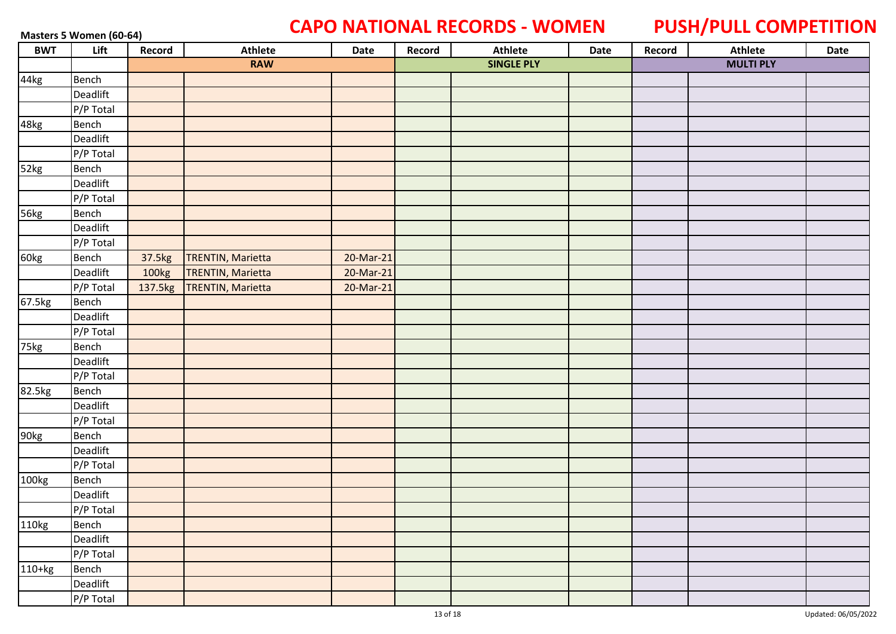### Masters 5 Women (60-64) **CAPO NATIONAL RECORDS - WOMEN** PUSH/PULL COMPETITION

| <b>BWT</b> | Lift      | Record  | <b>Athlete</b>           | Date      | Record | <b>Athlete</b>    | Date | Record | Athlete          | Date |
|------------|-----------|---------|--------------------------|-----------|--------|-------------------|------|--------|------------------|------|
|            |           |         | <b>RAW</b>               |           |        | <b>SINGLE PLY</b> |      |        | <b>MULTI PLY</b> |      |
| 44kg       | Bench     |         |                          |           |        |                   |      |        |                  |      |
|            | Deadlift  |         |                          |           |        |                   |      |        |                  |      |
|            | P/P Total |         |                          |           |        |                   |      |        |                  |      |
| 48kg       | Bench     |         |                          |           |        |                   |      |        |                  |      |
|            | Deadlift  |         |                          |           |        |                   |      |        |                  |      |
|            | P/P Total |         |                          |           |        |                   |      |        |                  |      |
| 52kg       | Bench     |         |                          |           |        |                   |      |        |                  |      |
|            | Deadlift  |         |                          |           |        |                   |      |        |                  |      |
|            | P/P Total |         |                          |           |        |                   |      |        |                  |      |
| 56kg       | Bench     |         |                          |           |        |                   |      |        |                  |      |
|            | Deadlift  |         |                          |           |        |                   |      |        |                  |      |
|            | P/P Total |         |                          |           |        |                   |      |        |                  |      |
| 60kg       | Bench     | 37.5kg  | <b>TRENTIN, Marietta</b> | 20-Mar-21 |        |                   |      |        |                  |      |
|            | Deadlift  | 100kg   | <b>TRENTIN, Marietta</b> | 20-Mar-21 |        |                   |      |        |                  |      |
|            | P/P Total | 137.5kg | <b>TRENTIN, Marietta</b> | 20-Mar-21 |        |                   |      |        |                  |      |
| 67.5kg     | Bench     |         |                          |           |        |                   |      |        |                  |      |
|            | Deadlift  |         |                          |           |        |                   |      |        |                  |      |
|            | P/P Total |         |                          |           |        |                   |      |        |                  |      |
| 75kg       | Bench     |         |                          |           |        |                   |      |        |                  |      |
|            | Deadlift  |         |                          |           |        |                   |      |        |                  |      |
|            | P/P Total |         |                          |           |        |                   |      |        |                  |      |
| 82.5kg     | Bench     |         |                          |           |        |                   |      |        |                  |      |
|            | Deadlift  |         |                          |           |        |                   |      |        |                  |      |
|            | P/P Total |         |                          |           |        |                   |      |        |                  |      |
| 90kg       | Bench     |         |                          |           |        |                   |      |        |                  |      |
|            | Deadlift  |         |                          |           |        |                   |      |        |                  |      |
|            | P/P Total |         |                          |           |        |                   |      |        |                  |      |
| 100kg      | Bench     |         |                          |           |        |                   |      |        |                  |      |
|            | Deadlift  |         |                          |           |        |                   |      |        |                  |      |
|            | P/P Total |         |                          |           |        |                   |      |        |                  |      |
| 110kg      | Bench     |         |                          |           |        |                   |      |        |                  |      |
|            | Deadlift  |         |                          |           |        |                   |      |        |                  |      |
|            | P/P Total |         |                          |           |        |                   |      |        |                  |      |
| $110+kg$   | Bench     |         |                          |           |        |                   |      |        |                  |      |
|            | Deadlift  |         |                          |           |        |                   |      |        |                  |      |
|            | P/P Total |         |                          |           |        |                   |      |        |                  |      |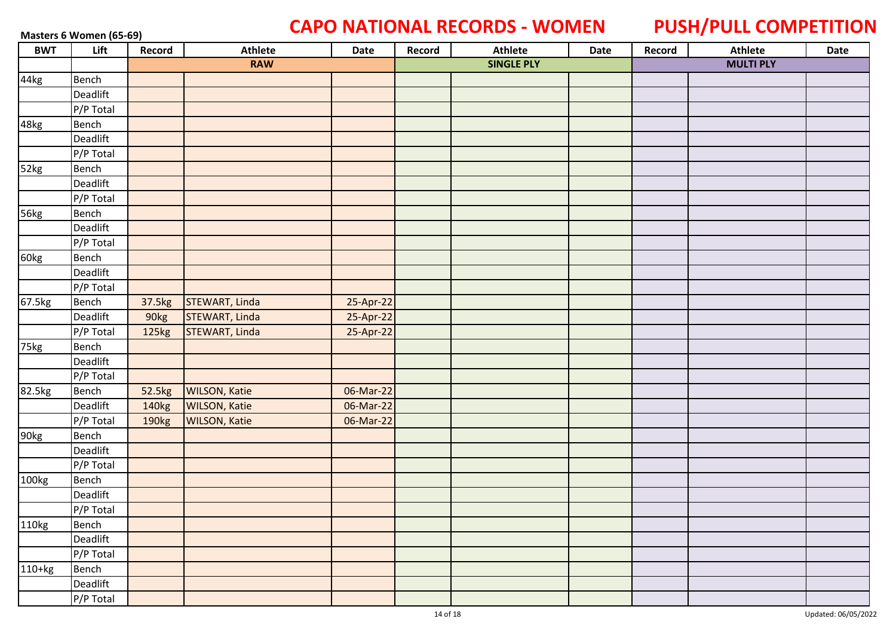### Masters 6 Women (65-69) **CAPO NATIONAL RECORDS - WOMEN** PUSH/PULL COMPETITION

| <b>BWT</b> | Lift      | Record            | <b>Athlete</b>        | Date      | Record | <b>Athlete</b>    | Date | Record | Athlete          | Date |
|------------|-----------|-------------------|-----------------------|-----------|--------|-------------------|------|--------|------------------|------|
|            |           |                   | <b>RAW</b>            |           |        | <b>SINGLE PLY</b> |      |        | <b>MULTI PLY</b> |      |
| 44kg       | Bench     |                   |                       |           |        |                   |      |        |                  |      |
|            | Deadlift  |                   |                       |           |        |                   |      |        |                  |      |
|            | P/P Total |                   |                       |           |        |                   |      |        |                  |      |
| 48kg       | Bench     |                   |                       |           |        |                   |      |        |                  |      |
|            | Deadlift  |                   |                       |           |        |                   |      |        |                  |      |
|            | P/P Total |                   |                       |           |        |                   |      |        |                  |      |
| 52kg       | Bench     |                   |                       |           |        |                   |      |        |                  |      |
|            | Deadlift  |                   |                       |           |        |                   |      |        |                  |      |
|            | P/P Total |                   |                       |           |        |                   |      |        |                  |      |
| 56kg       | Bench     |                   |                       |           |        |                   |      |        |                  |      |
|            | Deadlift  |                   |                       |           |        |                   |      |        |                  |      |
|            | P/P Total |                   |                       |           |        |                   |      |        |                  |      |
| 60kg       | Bench     |                   |                       |           |        |                   |      |        |                  |      |
|            | Deadlift  |                   |                       |           |        |                   |      |        |                  |      |
|            | P/P Total |                   |                       |           |        |                   |      |        |                  |      |
| 67.5kg     | Bench     | 37.5kg            | STEWART, Linda        | 25-Apr-22 |        |                   |      |        |                  |      |
|            | Deadlift  | 90kg              | <b>STEWART, Linda</b> | 25-Apr-22 |        |                   |      |        |                  |      |
|            | P/P Total | 125kg             | STEWART, Linda        | 25-Apr-22 |        |                   |      |        |                  |      |
| 75kg       | Bench     |                   |                       |           |        |                   |      |        |                  |      |
|            | Deadlift  |                   |                       |           |        |                   |      |        |                  |      |
|            | P/P Total |                   |                       |           |        |                   |      |        |                  |      |
| 82.5kg     | Bench     | 52.5kg            | <b>WILSON, Katie</b>  | 06-Mar-22 |        |                   |      |        |                  |      |
|            | Deadlift  | 140 <sub>kg</sub> | <b>WILSON, Katie</b>  | 06-Mar-22 |        |                   |      |        |                  |      |
|            | P/P Total | 190kg             | <b>WILSON, Katie</b>  | 06-Mar-22 |        |                   |      |        |                  |      |
| 90kg       | Bench     |                   |                       |           |        |                   |      |        |                  |      |
|            | Deadlift  |                   |                       |           |        |                   |      |        |                  |      |
|            | P/P Total |                   |                       |           |        |                   |      |        |                  |      |
| 100kg      | Bench     |                   |                       |           |        |                   |      |        |                  |      |
|            | Deadlift  |                   |                       |           |        |                   |      |        |                  |      |
|            | P/P Total |                   |                       |           |        |                   |      |        |                  |      |
| 110kg      | Bench     |                   |                       |           |        |                   |      |        |                  |      |
|            | Deadlift  |                   |                       |           |        |                   |      |        |                  |      |
|            | P/P Total |                   |                       |           |        |                   |      |        |                  |      |
| $110+kg$   | Bench     |                   |                       |           |        |                   |      |        |                  |      |
|            | Deadlift  |                   |                       |           |        |                   |      |        |                  |      |
|            | P/P Total |                   |                       |           |        |                   |      |        |                  |      |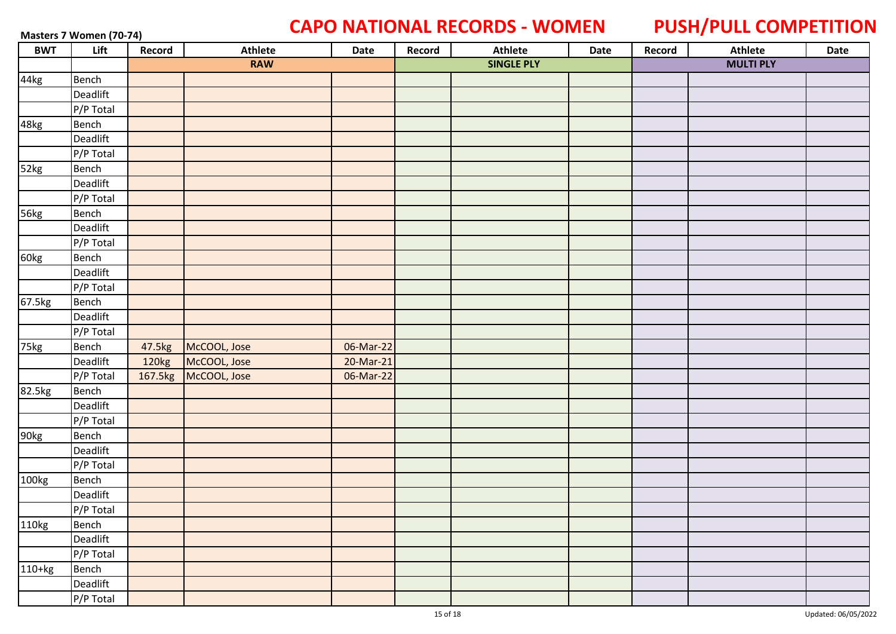### **Masters 7 Women (70-74) CAPO NATIONAL RECORDS - WOMEN PUSH/PULL COMPETITION**

| <b>BWT</b> | Lift      | Record | Athlete              | Date      | Record | <b>Athlete</b>    | Date | Record | <b>Athlete</b>   | Date |
|------------|-----------|--------|----------------------|-----------|--------|-------------------|------|--------|------------------|------|
|            |           |        | <b>RAW</b>           |           |        | <b>SINGLE PLY</b> |      |        | <b>MULTI PLY</b> |      |
| 44kg       | Bench     |        |                      |           |        |                   |      |        |                  |      |
|            | Deadlift  |        |                      |           |        |                   |      |        |                  |      |
|            | P/P Total |        |                      |           |        |                   |      |        |                  |      |
| 48kg       | Bench     |        |                      |           |        |                   |      |        |                  |      |
|            | Deadlift  |        |                      |           |        |                   |      |        |                  |      |
|            | P/P Total |        |                      |           |        |                   |      |        |                  |      |
| 52kg       | Bench     |        |                      |           |        |                   |      |        |                  |      |
|            | Deadlift  |        |                      |           |        |                   |      |        |                  |      |
|            | P/P Total |        |                      |           |        |                   |      |        |                  |      |
| 56kg       | Bench     |        |                      |           |        |                   |      |        |                  |      |
|            | Deadlift  |        |                      |           |        |                   |      |        |                  |      |
|            | P/P Total |        |                      |           |        |                   |      |        |                  |      |
| 60kg       | Bench     |        |                      |           |        |                   |      |        |                  |      |
|            | Deadlift  |        |                      |           |        |                   |      |        |                  |      |
|            | P/P Total |        |                      |           |        |                   |      |        |                  |      |
| 67.5kg     | Bench     |        |                      |           |        |                   |      |        |                  |      |
|            | Deadlift  |        |                      |           |        |                   |      |        |                  |      |
|            | P/P Total |        |                      |           |        |                   |      |        |                  |      |
| 75kg       | Bench     | 47.5kg | McCOOL, Jose         | 06-Mar-22 |        |                   |      |        |                  |      |
|            | Deadlift  | 120kg  | McCOOL, Jose         | 20-Mar-21 |        |                   |      |        |                  |      |
|            | P/P Total |        | 167.5kg McCOOL, Jose | 06-Mar-22 |        |                   |      |        |                  |      |
| 82.5kg     | Bench     |        |                      |           |        |                   |      |        |                  |      |
|            | Deadlift  |        |                      |           |        |                   |      |        |                  |      |
|            | P/P Total |        |                      |           |        |                   |      |        |                  |      |
| 90kg       | Bench     |        |                      |           |        |                   |      |        |                  |      |
|            | Deadlift  |        |                      |           |        |                   |      |        |                  |      |
|            | P/P Total |        |                      |           |        |                   |      |        |                  |      |
| 100kg      | Bench     |        |                      |           |        |                   |      |        |                  |      |
|            | Deadlift  |        |                      |           |        |                   |      |        |                  |      |
|            | P/P Total |        |                      |           |        |                   |      |        |                  |      |
| 110kg      | Bench     |        |                      |           |        |                   |      |        |                  |      |
|            | Deadlift  |        |                      |           |        |                   |      |        |                  |      |
|            | P/P Total |        |                      |           |        |                   |      |        |                  |      |
| $110+kg$   | Bench     |        |                      |           |        |                   |      |        |                  |      |
|            | Deadlift  |        |                      |           |        |                   |      |        |                  |      |
|            | P/P Total |        |                      |           |        |                   |      |        |                  |      |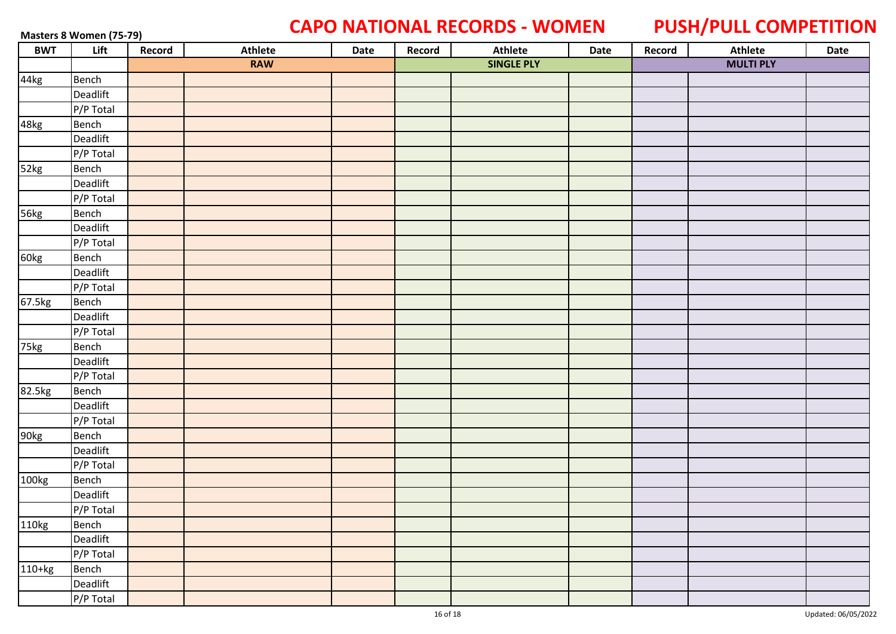### **Masters 8 Women (75-79) CAPO NATIONAL RECORDS - WOMEN PUSH/PULL COMPETITION**

| <b>BWT</b> | Lift                   | Record | <b>Athlete</b> | Date | Record | Athlete           | Date | Record | Athlete          | Date |
|------------|------------------------|--------|----------------|------|--------|-------------------|------|--------|------------------|------|
|            |                        |        | <b>RAW</b>     |      |        | <b>SINGLE PLY</b> |      |        | <b>MULTI PLY</b> |      |
| 44kg       | Bench                  |        |                |      |        |                   |      |        |                  |      |
|            | Deadlift               |        |                |      |        |                   |      |        |                  |      |
|            | P/P Total              |        |                |      |        |                   |      |        |                  |      |
| 48kg       | Bench                  |        |                |      |        |                   |      |        |                  |      |
|            | Deadlift               |        |                |      |        |                   |      |        |                  |      |
|            | P/P Total              |        |                |      |        |                   |      |        |                  |      |
| 52kg       | Bench                  |        |                |      |        |                   |      |        |                  |      |
|            | Deadlift               |        |                |      |        |                   |      |        |                  |      |
|            | P/P Total              |        |                |      |        |                   |      |        |                  |      |
| 56kg       | Bench                  |        |                |      |        |                   |      |        |                  |      |
|            | Deadlift               |        |                |      |        |                   |      |        |                  |      |
|            | P/P Total              |        |                |      |        |                   |      |        |                  |      |
| 60kg       | Bench                  |        |                |      |        |                   |      |        |                  |      |
|            | Deadlift               |        |                |      |        |                   |      |        |                  |      |
|            | P/P Total              |        |                |      |        |                   |      |        |                  |      |
| 67.5kg     | Bench                  |        |                |      |        |                   |      |        |                  |      |
|            | Deadlift               |        |                |      |        |                   |      |        |                  |      |
|            | P/P Total              |        |                |      |        |                   |      |        |                  |      |
| 75kg       | Bench                  |        |                |      |        |                   |      |        |                  |      |
|            | Deadlift               |        |                |      |        |                   |      |        |                  |      |
|            | P/P Total              |        |                |      |        |                   |      |        |                  |      |
| 82.5kg     | Bench                  |        |                |      |        |                   |      |        |                  |      |
|            | Deadlift               |        |                |      |        |                   |      |        |                  |      |
|            | $\sqrt{P/P}$ Total     |        |                |      |        |                   |      |        |                  |      |
| 90kg       | Bench                  |        |                |      |        |                   |      |        |                  |      |
|            | Deadlift               |        |                |      |        |                   |      |        |                  |      |
|            | P/P Total              |        |                |      |        |                   |      |        |                  |      |
| 100kg      | Bench                  |        |                |      |        |                   |      |        |                  |      |
|            | Deadlift               |        |                |      |        |                   |      |        |                  |      |
|            | P/P Total              |        |                |      |        |                   |      |        |                  |      |
| 110kg      | Bench                  |        |                |      |        |                   |      |        |                  |      |
|            | Deadlift               |        |                |      |        |                   |      |        |                  |      |
|            | P/P Total              |        |                |      |        |                   |      |        |                  |      |
| $110+kg$   | Bench                  |        |                |      |        |                   |      |        |                  |      |
|            | Deadlift               |        |                |      |        |                   |      |        |                  |      |
|            | $\overline{P/P}$ Total |        |                |      |        |                   |      |        |                  |      |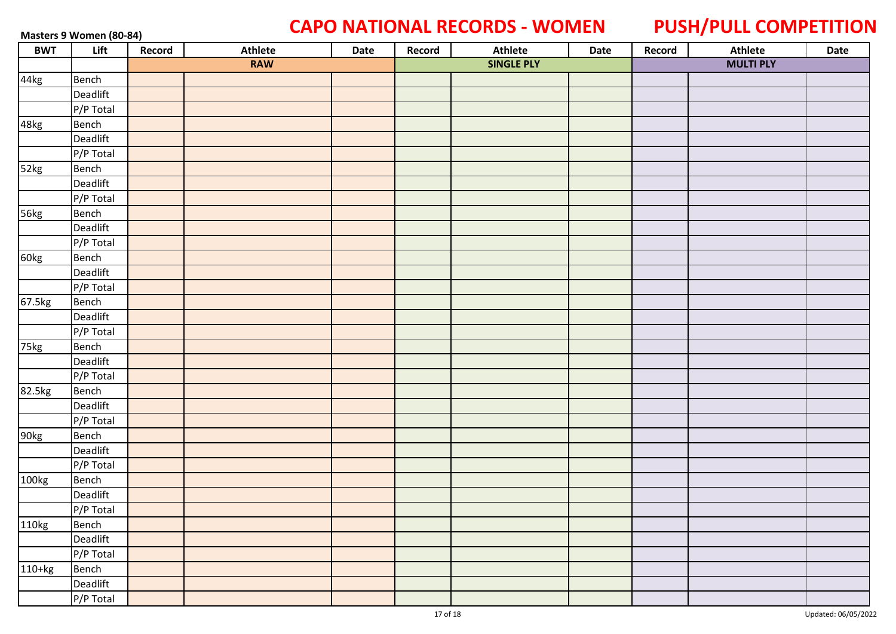### **Masters 9 Women (80-84) CAPO NATIONAL RECORDS - WOMEN PUSH/PULL COMPETITION**

| <b>BWT</b> | Lift         | Record | <b>Athlete</b> | Date | Record | Athlete           | Date | Record | Athlete          | Date |
|------------|--------------|--------|----------------|------|--------|-------------------|------|--------|------------------|------|
|            |              |        | <b>RAW</b>     |      |        | <b>SINGLE PLY</b> |      |        | <b>MULTI PLY</b> |      |
| 44kg       | Bench        |        |                |      |        |                   |      |        |                  |      |
|            | Deadlift     |        |                |      |        |                   |      |        |                  |      |
|            | P/P Total    |        |                |      |        |                   |      |        |                  |      |
| 48kg       | <b>Bench</b> |        |                |      |        |                   |      |        |                  |      |
|            | Deadlift     |        |                |      |        |                   |      |        |                  |      |
|            | P/P Total    |        |                |      |        |                   |      |        |                  |      |
| 52kg       | Bench        |        |                |      |        |                   |      |        |                  |      |
|            | Deadlift     |        |                |      |        |                   |      |        |                  |      |
|            | P/P Total    |        |                |      |        |                   |      |        |                  |      |
| 56kg       | Bench        |        |                |      |        |                   |      |        |                  |      |
|            | Deadlift     |        |                |      |        |                   |      |        |                  |      |
|            | P/P Total    |        |                |      |        |                   |      |        |                  |      |
| 60kg       | Bench        |        |                |      |        |                   |      |        |                  |      |
|            | Deadlift     |        |                |      |        |                   |      |        |                  |      |
|            | P/P Total    |        |                |      |        |                   |      |        |                  |      |
| 67.5kg     | Bench        |        |                |      |        |                   |      |        |                  |      |
|            | Deadlift     |        |                |      |        |                   |      |        |                  |      |
|            | P/P Total    |        |                |      |        |                   |      |        |                  |      |
| 75kg       | Bench        |        |                |      |        |                   |      |        |                  |      |
|            | Deadlift     |        |                |      |        |                   |      |        |                  |      |
|            | P/P Total    |        |                |      |        |                   |      |        |                  |      |
| 82.5kg     | Bench        |        |                |      |        |                   |      |        |                  |      |
|            | Deadlift     |        |                |      |        |                   |      |        |                  |      |
|            | P/P Total    |        |                |      |        |                   |      |        |                  |      |
| 90kg       | Bench        |        |                |      |        |                   |      |        |                  |      |
|            | Deadlift     |        |                |      |        |                   |      |        |                  |      |
|            | P/P Total    |        |                |      |        |                   |      |        |                  |      |
| 100kg      | Bench        |        |                |      |        |                   |      |        |                  |      |
|            | Deadlift     |        |                |      |        |                   |      |        |                  |      |
|            | P/P Total    |        |                |      |        |                   |      |        |                  |      |
| 110kg      | Bench        |        |                |      |        |                   |      |        |                  |      |
|            | Deadlift     |        |                |      |        |                   |      |        |                  |      |
|            | P/P Total    |        |                |      |        |                   |      |        |                  |      |
| $110+kg$   | Bench        |        |                |      |        |                   |      |        |                  |      |
|            | Deadlift     |        |                |      |        |                   |      |        |                  |      |
|            | $P/P$ Total  |        |                |      |        |                   |      |        |                  |      |